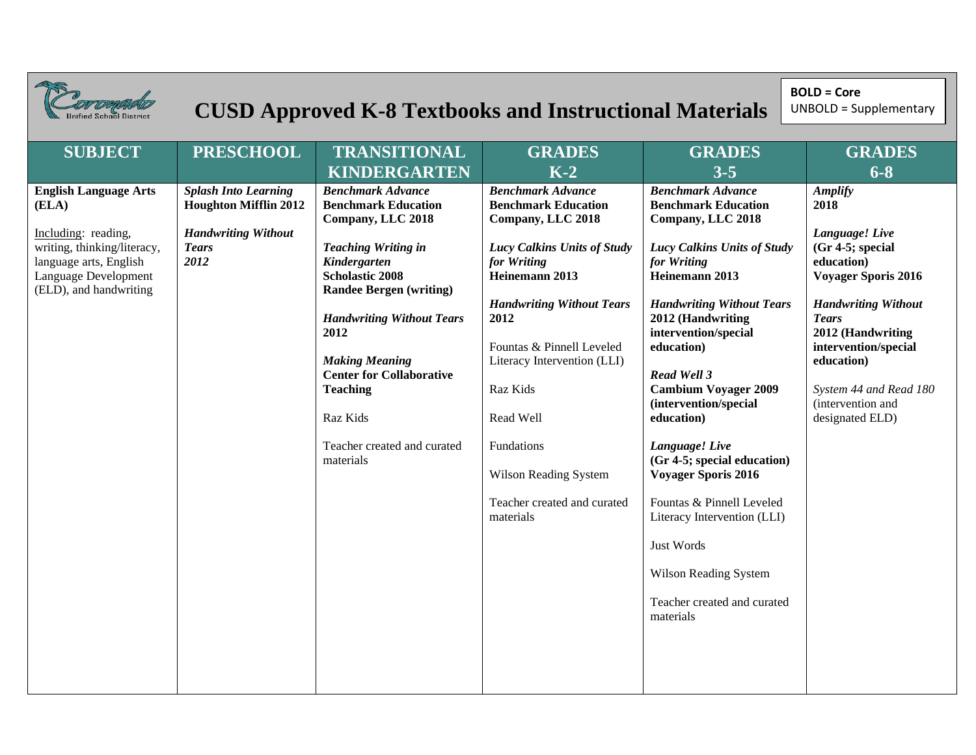| <b>ified School District</b>                                                                                                                                            | <b>CUSD Approved K-8 Textbooks and Instructional Materials</b>                                                    | <b>BOLD = Core</b><br><b>UNBOLD = Supplementary</b>                                                                                                                                                                                                                                                                                                                      |                                                                                                                                                                                                                                                                                                                                                                        |                                                                                                                                                                                                                                                                                                                                                                                                                                                                                                                                                                      |                                                                                                                                                                                                                                                                                        |
|-------------------------------------------------------------------------------------------------------------------------------------------------------------------------|-------------------------------------------------------------------------------------------------------------------|--------------------------------------------------------------------------------------------------------------------------------------------------------------------------------------------------------------------------------------------------------------------------------------------------------------------------------------------------------------------------|------------------------------------------------------------------------------------------------------------------------------------------------------------------------------------------------------------------------------------------------------------------------------------------------------------------------------------------------------------------------|----------------------------------------------------------------------------------------------------------------------------------------------------------------------------------------------------------------------------------------------------------------------------------------------------------------------------------------------------------------------------------------------------------------------------------------------------------------------------------------------------------------------------------------------------------------------|----------------------------------------------------------------------------------------------------------------------------------------------------------------------------------------------------------------------------------------------------------------------------------------|
| <b>SUBJECT</b>                                                                                                                                                          | <b>PRESCHOOL</b>                                                                                                  | <b>TRANSITIONAL</b><br><b>KINDERGARTEN</b>                                                                                                                                                                                                                                                                                                                               | <b>GRADES</b><br>$K-2$                                                                                                                                                                                                                                                                                                                                                 | <b>GRADES</b><br>$3 - 5$                                                                                                                                                                                                                                                                                                                                                                                                                                                                                                                                             | <b>GRADES</b><br>$6 - 8$                                                                                                                                                                                                                                                               |
| <b>English Language Arts</b><br>(ELA)<br>Including: reading,<br>writing, thinking/literacy,<br>language arts, English<br>Language Development<br>(ELD), and handwriting | <b>Splash Into Learning</b><br><b>Houghton Mifflin 2012</b><br><b>Handwriting Without</b><br><b>Tears</b><br>2012 | <b>Benchmark Advance</b><br><b>Benchmark Education</b><br>Company, LLC 2018<br><b>Teaching Writing in</b><br>Kindergarten<br><b>Scholastic 2008</b><br><b>Randee Bergen (writing)</b><br><b>Handwriting Without Tears</b><br>2012<br><b>Making Meaning</b><br><b>Center for Collaborative</b><br><b>Teaching</b><br>Raz Kids<br>Teacher created and curated<br>materials | <b>Benchmark Advance</b><br><b>Benchmark Education</b><br>Company, LLC 2018<br>Lucy Calkins Units of Study<br>for Writing<br>Heinemann 2013<br><b>Handwriting Without Tears</b><br>2012<br>Fountas & Pinnell Leveled<br>Literacy Intervention (LLI)<br>Raz Kids<br>Read Well<br>Fundations<br><b>Wilson Reading System</b><br>Teacher created and curated<br>materials | <b>Benchmark Advance</b><br><b>Benchmark Education</b><br>Company, LLC 2018<br><b>Lucy Calkins Units of Study</b><br>for Writing<br>Heinemann 2013<br><b>Handwriting Without Tears</b><br>2012 (Handwriting<br>intervention/special<br>education)<br>Read Well 3<br><b>Cambium Voyager 2009</b><br>(intervention/special<br>education)<br>Language! Live<br>(Gr 4-5; special education)<br><b>Voyager Sporis 2016</b><br>Fountas & Pinnell Leveled<br>Literacy Intervention (LLI)<br>Just Words<br>Wilson Reading System<br>Teacher created and curated<br>materials | <b>Amplify</b><br>2018<br>Language! Live<br>$(Gr 4-5; special)$<br>education)<br><b>Voyager Sporis 2016</b><br><b>Handwriting Without</b><br><b>Tears</b><br>2012 (Handwriting<br>intervention/special<br>education)<br>System 44 and Read 180<br>(intervention and<br>designated ELD) |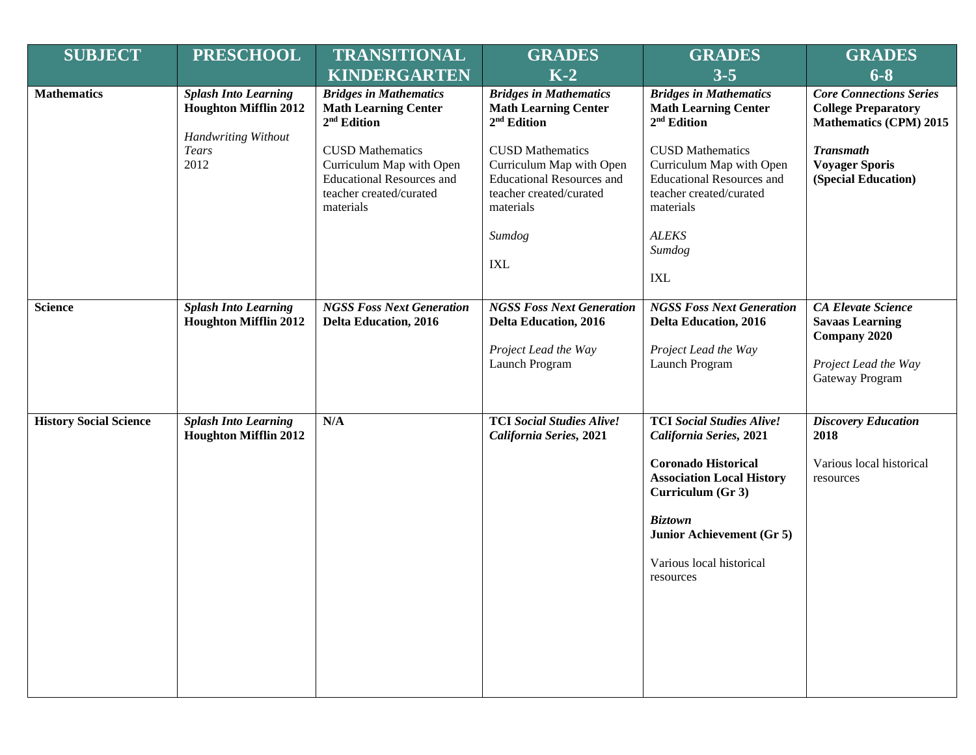| <b>SUBJECT</b>                             | <b>PRESCHOOL</b>                                                                          | <b>TRANSITIONAL</b>                                                                                                             | <b>GRADES</b>                                                                                                                             | <b>GRADES</b>                                                                                                                                                                                                                              | <b>GRADES</b>                                                                                                  |
|--------------------------------------------|-------------------------------------------------------------------------------------------|---------------------------------------------------------------------------------------------------------------------------------|-------------------------------------------------------------------------------------------------------------------------------------------|--------------------------------------------------------------------------------------------------------------------------------------------------------------------------------------------------------------------------------------------|----------------------------------------------------------------------------------------------------------------|
|                                            |                                                                                           | <b>KINDERGARTEN</b>                                                                                                             | $K-2$                                                                                                                                     | $3 - 5$                                                                                                                                                                                                                                    | $6 - 8$                                                                                                        |
| <b>Mathematics</b><br><b>Tears</b><br>2012 | <b>Splash Into Learning</b><br><b>Houghton Mifflin 2012</b><br><b>Handwriting Without</b> | <b>Bridges in Mathematics</b><br><b>Math Learning Center</b><br>$2nd$ Edition                                                   | <b>Bridges in Mathematics</b><br><b>Math Learning Center</b><br>2 <sup>nd</sup> Edition                                                   | <b>Bridges in Mathematics</b><br><b>Math Learning Center</b><br>2 <sup>nd</sup> Edition                                                                                                                                                    | <b>Core Connections Series</b><br><b>College Preparatory</b><br><b>Mathematics (CPM) 2015</b>                  |
|                                            |                                                                                           | <b>CUSD Mathematics</b><br>Curriculum Map with Open<br><b>Educational Resources and</b><br>teacher created/curated<br>materials | <b>CUSD Mathematics</b><br>Curriculum Map with Open<br><b>Educational Resources and</b><br>teacher created/curated<br>materials<br>Sumdog | <b>Transmath</b><br><b>CUSD Mathematics</b><br>Curriculum Map with Open<br><b>Voyager Sporis</b><br><b>Educational Resources and</b><br>teacher created/curated<br>materials<br><b>ALEKS</b>                                               | (Special Education)                                                                                            |
|                                            |                                                                                           |                                                                                                                                 | IXL                                                                                                                                       | Sumdog                                                                                                                                                                                                                                     |                                                                                                                |
|                                            |                                                                                           |                                                                                                                                 |                                                                                                                                           | <b>IXL</b>                                                                                                                                                                                                                                 |                                                                                                                |
| <b>Science</b>                             | <b>Splash Into Learning</b><br><b>Houghton Mifflin 2012</b>                               | <b>NGSS Foss Next Generation</b><br><b>Delta Education, 2016</b>                                                                | <b>NGSS Foss Next Generation</b><br><b>Delta Education, 2016</b><br>Project Lead the Way<br>Launch Program                                | <b>NGSS Foss Next Generation</b><br><b>Delta Education, 2016</b><br>Project Lead the Way<br>Launch Program                                                                                                                                 | <b>CA Elevate Science</b><br><b>Savaas Learning</b><br>Company 2020<br>Project Lead the Way<br>Gateway Program |
| <b>History Social Science</b>              | <b>Splash Into Learning</b><br><b>Houghton Mifflin 2012</b>                               | N/A                                                                                                                             | <b>TCI Social Studies Alive!</b><br>California Series, 2021                                                                               | <b>TCI Social Studies Alive!</b><br>California Series, 2021<br><b>Coronado Historical</b><br><b>Association Local History</b><br>Curriculum (Gr 3)<br><b>Biztown</b><br>Junior Achievement (Gr 5)<br>Various local historical<br>resources | <b>Discovery Education</b><br>2018<br>Various local historical<br>resources                                    |